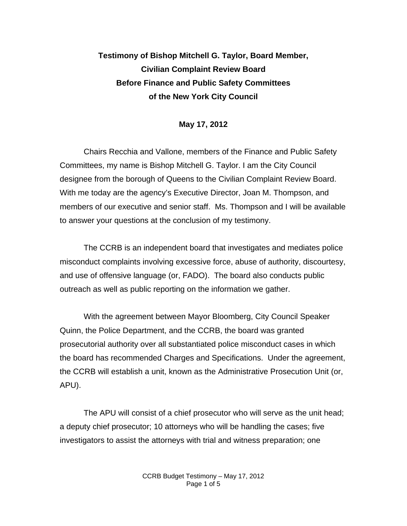## **Testimony of Bishop Mitchell G. Taylor, Board Member, Civilian Complaint Review Board Before Finance and Public Safety Committees of the New York City Council**

## **May 17, 2012**

Chairs Recchia and Vallone, members of the Finance and Public Safety Committees, my name is Bishop Mitchell G. Taylor. I am the City Council designee from the borough of Queens to the Civilian Complaint Review Board. With me today are the agency's Executive Director, Joan M. Thompson, and members of our executive and senior staff. Ms. Thompson and I will be available to answer your questions at the conclusion of my testimony.

The CCRB is an independent board that investigates and mediates police misconduct complaints involving excessive force, abuse of authority, discourtesy, and use of offensive language (or, FADO). The board also conducts public outreach as well as public reporting on the information we gather.

With the agreement between Mayor Bloomberg, City Council Speaker Quinn, the Police Department, and the CCRB, the board was granted prosecutorial authority over all substantiated police misconduct cases in which the board has recommended Charges and Specifications. Under the agreement, the CCRB will establish a unit, known as the Administrative Prosecution Unit (or, APU).

The APU will consist of a chief prosecutor who will serve as the unit head; a deputy chief prosecutor; 10 attorneys who will be handling the cases; five investigators to assist the attorneys with trial and witness preparation; one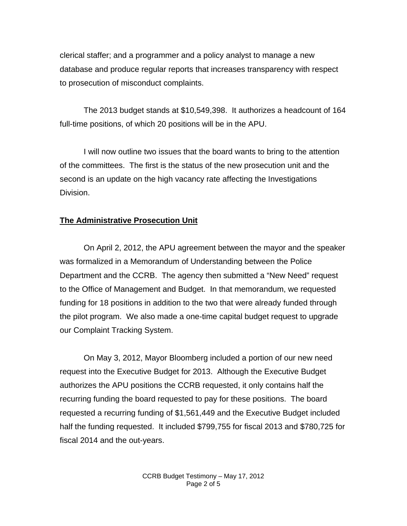clerical staffer; and a programmer and a policy analyst to manage a new database and produce regular reports that increases transparency with respect to prosecution of misconduct complaints.

The 2013 budget stands at \$10,549,398. It authorizes a headcount of 164 full-time positions, of which 20 positions will be in the APU.

I will now outline two issues that the board wants to bring to the attention of the committees. The first is the status of the new prosecution unit and the second is an update on the high vacancy rate affecting the Investigations Division.

## **The Administrative Prosecution Unit**

On April 2, 2012, the APU agreement between the mayor and the speaker was formalized in a Memorandum of Understanding between the Police Department and the CCRB. The agency then submitted a "New Need" request to the Office of Management and Budget. In that memorandum, we requested funding for 18 positions in addition to the two that were already funded through the pilot program. We also made a one-time capital budget request to upgrade our Complaint Tracking System.

On May 3, 2012, Mayor Bloomberg included a portion of our new need request into the Executive Budget for 2013. Although the Executive Budget authorizes the APU positions the CCRB requested, it only contains half the recurring funding the board requested to pay for these positions. The board requested a recurring funding of \$1,561,449 and the Executive Budget included half the funding requested. It included \$799,755 for fiscal 2013 and \$780,725 for fiscal 2014 and the out-years.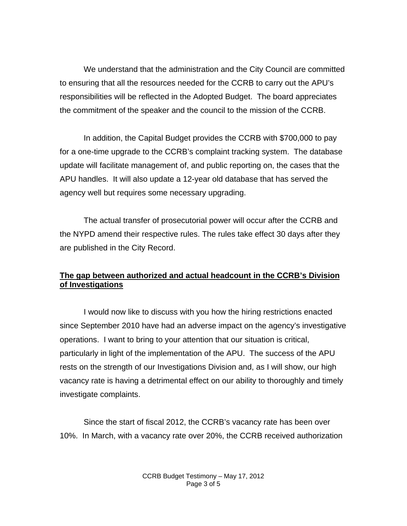We understand that the administration and the City Council are committed to ensuring that all the resources needed for the CCRB to carry out the APU's responsibilities will be reflected in the Adopted Budget. The board appreciates the commitment of the speaker and the council to the mission of the CCRB.

In addition, the Capital Budget provides the CCRB with \$700,000 to pay for a one-time upgrade to the CCRB's complaint tracking system. The database update will facilitate management of, and public reporting on, the cases that the APU handles. It will also update a 12-year old database that has served the agency well but requires some necessary upgrading.

The actual transfer of prosecutorial power will occur after the CCRB and the NYPD amend their respective rules. The rules take effect 30 days after they are published in the City Record.

## **The gap between authorized and actual headcount in the CCRB's Division of Investigations**

I would now like to discuss with you how the hiring restrictions enacted since September 2010 have had an adverse impact on the agency's investigative operations. I want to bring to your attention that our situation is critical, particularly in light of the implementation of the APU. The success of the APU rests on the strength of our Investigations Division and, as I will show, our high vacancy rate is having a detrimental effect on our ability to thoroughly and timely investigate complaints.

Since the start of fiscal 2012, the CCRB's vacancy rate has been over 10%. In March, with a vacancy rate over 20%, the CCRB received authorization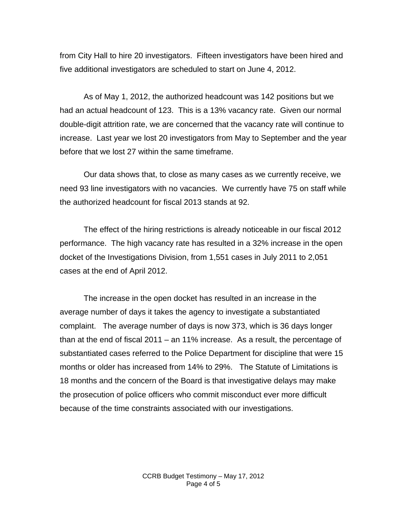from City Hall to hire 20 investigators. Fifteen investigators have been hired and five additional investigators are scheduled to start on June 4, 2012.

As of May 1, 2012, the authorized headcount was 142 positions but we had an actual headcount of 123. This is a 13% vacancy rate. Given our normal double-digit attrition rate, we are concerned that the vacancy rate will continue to increase. Last year we lost 20 investigators from May to September and the year before that we lost 27 within the same timeframe.

Our data shows that, to close as many cases as we currently receive, we need 93 line investigators with no vacancies. We currently have 75 on staff while the authorized headcount for fiscal 2013 stands at 92.

The effect of the hiring restrictions is already noticeable in our fiscal 2012 performance. The high vacancy rate has resulted in a 32% increase in the open docket of the Investigations Division, from 1,551 cases in July 2011 to 2,051 cases at the end of April 2012.

The increase in the open docket has resulted in an increase in the average number of days it takes the agency to investigate a substantiated complaint. The average number of days is now 373, which is 36 days longer than at the end of fiscal 2011 – an 11% increase. As a result, the percentage of substantiated cases referred to the Police Department for discipline that were 15 months or older has increased from 14% to 29%. The Statute of Limitations is 18 months and the concern of the Board is that investigative delays may make the prosecution of police officers who commit misconduct ever more difficult because of the time constraints associated with our investigations.